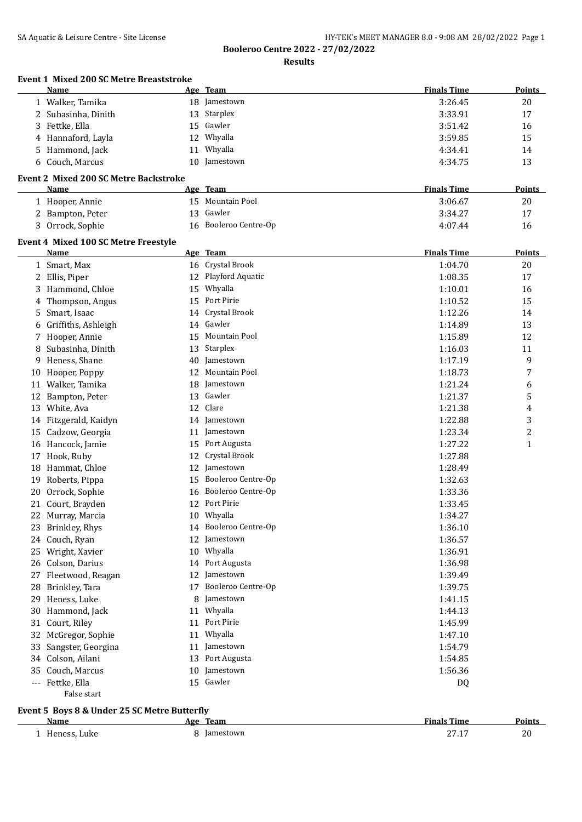**Results**

|     | <b>Event 1 Mixed 200 SC Metre Breaststroke</b><br>Name |    | Age Team              | <b>Finals Time</b> | Points        |
|-----|--------------------------------------------------------|----|-----------------------|--------------------|---------------|
|     | 1 Walker, Tamika                                       |    | 18 Jamestown          | 3:26.45            | 20            |
|     | 2 Subasinha, Dinith                                    | 13 | Starplex              | 3:33.91            | 17            |
|     | 3 Fettke, Ella                                         | 15 | Gawler                | 3:51.42            | 16            |
| 4   | Hannaford, Layla                                       | 12 | Whyalla               | 3:59.85            | 15            |
|     | 5 Hammond, Jack                                        |    | 11 Whyalla            | 4:34.41            | 14            |
|     | 6 Couch, Marcus                                        |    | 10 Jamestown          | 4:34.75            | 13            |
|     | <b>Event 2 Mixed 200 SC Metre Backstroke</b>           |    |                       |                    |               |
|     | Name                                                   |    | Age Team              | <b>Finals Time</b> | <b>Points</b> |
|     | 1 Hooper, Annie                                        |    | 15 Mountain Pool      | 3:06.67            | 20            |
|     | 2 Bampton, Peter                                       | 13 | Gawler                | 3:34.27            | 17            |
|     | 3 Orrock, Sophie                                       | 16 | Booleroo Centre-Op    | 4:07.44            | 16            |
|     | Event 4 Mixed 100 SC Metre Freestyle                   |    |                       |                    |               |
|     | <b>Name</b>                                            |    | Age Team              | <b>Finals Time</b> | Points        |
|     | 1 Smart, Max                                           |    | 16 Crystal Brook      | 1:04.70            | 20            |
|     | 2 Ellis, Piper                                         |    | 12 Playford Aquatic   | 1:08.35            | 17            |
| 3   | Hammond, Chloe                                         | 15 | Whyalla               | 1:10.01            | 16            |
| 4   | Thompson, Angus                                        | 15 | Port Pirie            | 1:10.52            | 15            |
| 5   | Smart, Isaac                                           | 14 | Crystal Brook         | 1:12.26            | 14            |
| 6   | Griffiths, Ashleigh                                    | 14 | Gawler                | 1:14.89            | 13            |
|     | 7 Hooper, Annie                                        | 15 | Mountain Pool         | 1:15.89            | 12            |
| 8   | Subasinha, Dinith                                      | 13 | Starplex              | 1:16.03            | 11            |
| 9   | Heness, Shane                                          | 40 | Jamestown             | 1:17.19            | 9             |
| 10  | Hooper, Poppy                                          | 12 | Mountain Pool         | 1:18.73            | 7             |
| 11  | Walker, Tamika                                         | 18 | Jamestown             | 1:21.24            | 6             |
|     | 12 Bampton, Peter                                      | 13 | Gawler                | 1:21.37            | 5             |
|     | 13 White, Ava                                          | 12 | Clare                 | 1:21.38            | 4             |
|     | 14 Fitzgerald, Kaidyn                                  | 14 | Jamestown             | 1:22.88            | 3             |
| 15  | Cadzow, Georgia                                        |    | 11 Jamestown          | 1:23.34            | 2             |
|     | 16 Hancock, Jamie                                      | 15 | Port Augusta          | 1:27.22            | 1             |
| 17  | Hook, Ruby                                             | 12 | Crystal Brook         | 1:27.88            |               |
| 18  | Hammat, Chloe                                          | 12 | Jamestown             | 1:28.49            |               |
| 19  | Roberts, Pippa                                         | 15 | Booleroo Centre-Op    | 1:32.63            |               |
| 20  | Orrock, Sophie                                         | 16 | Booleroo Centre-Op    | 1:33.36            |               |
|     | 21 Court, Brayden                                      |    | 12 Port Pirie         | 1:33.45            |               |
|     | 22 Murray, Marcia                                      |    | 10 Whyalla            | 1:34.27            |               |
|     | 23 Brinkley, Rhys                                      |    | 14 Booleroo Centre-Op | 1:36.10            |               |
|     | 24 Couch, Ryan                                         | 12 | Jamestown             | 1:36.57            |               |
|     | 25 Wright, Xavier                                      |    | 10 Whyalla            | 1:36.91            |               |
| 26  | Colson, Darius                                         | 14 | Port Augusta          | 1:36.98            |               |
|     | 27 Fleetwood, Reagan                                   | 12 | Jamestown             | 1:39.49            |               |
| 28  | Brinkley, Tara                                         | 17 | Booleroo Centre-Op    | 1:39.75            |               |
|     | 29 Heness, Luke                                        | 8  | Jamestown             | 1:41.15            |               |
|     | 30 Hammond, Jack                                       | 11 | Whyalla               | 1:44.13            |               |
| 31  | Court, Riley                                           | 11 | Port Pirie            | 1:45.99            |               |
| 32  | McGregor, Sophie                                       | 11 | Whyalla               | 1:47.10            |               |
| 33  | Sangster, Georgina                                     |    | 11 Jamestown          | 1:54.79            |               |
| 34  | Colson, Ailani                                         | 13 | Port Augusta          | 1:54.85            |               |
| 35  | Couch, Marcus                                          | 10 | Jamestown             | 1:56.36            |               |
| --- | Fettke, Ella                                           |    | 15 Gawler             | DQ                 |               |
|     | False start                                            |    |                       |                    |               |

#### **Event 5 Boys 8 & Under 25 SC Metre Butterfly**

| Name            | Team<br>Age | Finale<br>Time                   | 'oınts          |
|-----------------|-------------|----------------------------------|-----------------|
| Heness,<br>Luke | Iamestown   | .<br>$\sim$ $\sim$ $\sim$ $\sim$ | າດ<br>ZU.<br>__ |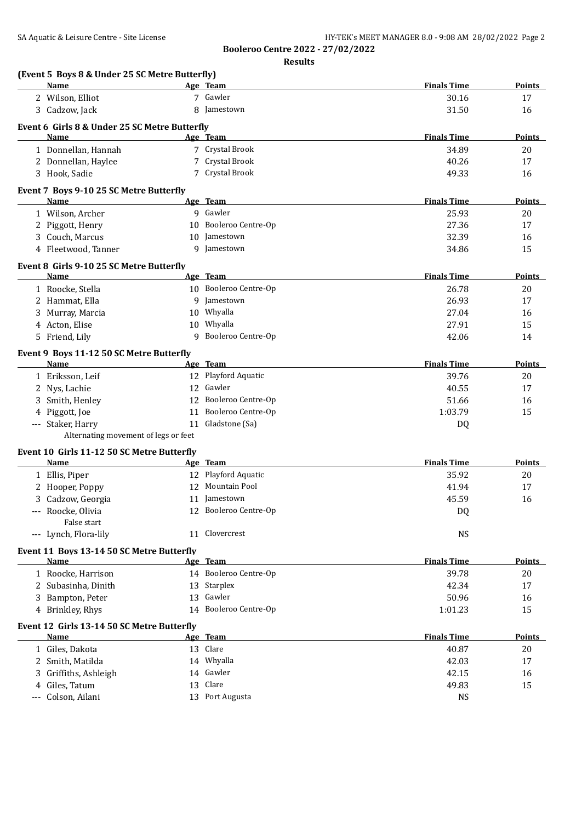**Results**

| (Event 5 Boys 8 & Under 25 SC Metre Butterfly)<br><b>Name</b> |    | Age Team              | <b>Finals Time</b> | <b>Points</b> |
|---------------------------------------------------------------|----|-----------------------|--------------------|---------------|
| 2 Wilson, Elliot                                              |    | 7 Gawler              | 30.16              | 17            |
| 3 Cadzow, Jack                                                |    | 8 Jamestown           | 31.50              | 16            |
|                                                               |    |                       |                    |               |
| Event 6 Girls 8 & Under 25 SC Metre Butterfly<br>Name         |    | Age Team              | <b>Finals Time</b> | <b>Points</b> |
| 1 Donnellan, Hannah                                           |    | 7 Crystal Brook       | 34.89              | 20            |
| 2 Donnellan, Haylee                                           |    | 7 Crystal Brook       | 40.26              | 17            |
| 3 Hook, Sadie                                                 |    | 7 Crystal Brook       | 49.33              | 16            |
|                                                               |    |                       |                    |               |
| Event 7 Boys 9-10 25 SC Metre Butterfly                       |    |                       |                    |               |
| <b>Name</b>                                                   |    | Age Team              | <b>Finals Time</b> | Points        |
| 1 Wilson, Archer                                              |    | 9 Gawler              | 25.93              | 20            |
| 2 Piggott, Henry                                              |    | 10 Booleroo Centre-Op | 27.36              | 17            |
| 3 Couch, Marcus                                               | 10 | Jamestown             | 32.39              | 16            |
| 4 Fleetwood, Tanner                                           | 9  | Jamestown             | 34.86              | 15            |
| Event 8 Girls 9-10 25 SC Metre Butterfly                      |    |                       |                    |               |
| Name                                                          |    | Age Team              | <b>Finals Time</b> | <b>Points</b> |
| 1 Roocke, Stella                                              |    | 10 Booleroo Centre-Op | 26.78              | 20            |
| 2 Hammat, Ella                                                |    | 9 Jamestown           | 26.93              | 17            |
| Murray, Marcia                                                |    | 10 Whyalla            | 27.04              | 16            |
| Acton, Elise<br>4                                             |    | 10 Whyalla            | 27.91              | 15            |
| 5 Friend, Lily                                                | 9  | Booleroo Centre-Op    | 42.06              | 14            |
| Event 9 Boys 11-12 50 SC Metre Butterfly                      |    |                       |                    |               |
| Name                                                          |    | Age Team              | <b>Finals Time</b> | <b>Points</b> |
| 1 Eriksson, Leif                                              |    | 12 Playford Aquatic   | 39.76              | 20            |
| 2 Nys, Lachie                                                 |    | 12 Gawler             | 40.55              | 17            |
| Smith, Henley                                                 |    | 12 Booleroo Centre-Op | 51.66              | 16            |
| Piggott, Joe<br>4                                             | 11 | Booleroo Centre-Op    | 1:03.79            | 15            |
| --- Staker, Harry                                             | 11 | Gladstone (Sa)        | DQ                 |               |
| Alternating movement of legs or feet                          |    |                       |                    |               |
| Event 10 Girls 11-12 50 SC Metre Butterfly                    |    |                       |                    |               |
| Name                                                          |    | Age Team              | <b>Finals Time</b> | <b>Points</b> |
| 1 Ellis, Piper                                                |    | 12 Playford Aquatic   | 35.92              | 20            |
| 2 Hooper, Poppy                                               |    | 12 Mountain Pool      | 41.94              | 17            |
| 3 Cadzow, Georgia                                             |    | 11 Jamestown          | 45.59              | 16            |
| --- Roocke, Olivia                                            |    | 12 Booleroo Centre-Op | DQ                 |               |
| False start                                                   |    |                       |                    |               |
| --- Lynch, Flora-lily                                         |    | 11 Clovercrest        | <b>NS</b>          |               |
| Event 11 Boys 13-14 50 SC Metre Butterfly                     |    |                       |                    |               |
| Name                                                          |    | Age Team              | <b>Finals Time</b> | <b>Points</b> |
| 1 Roocke, Harrison                                            |    | 14 Booleroo Centre-Op | 39.78              | 20            |
| 2 Subasinha, Dinith                                           |    | 13 Starplex           | 42.34              | 17            |
| 3 Bampton, Peter                                              |    | 13 Gawler             | 50.96              | 16            |
| 4 Brinkley, Rhys                                              |    | 14 Booleroo Centre-Op | 1:01.23            | 15            |
|                                                               |    |                       |                    |               |
| Event 12 Girls 13-14 50 SC Metre Butterfly<br>Name            |    | Age Team              | <b>Finals Time</b> | <b>Points</b> |
|                                                               |    | 13 Clare              |                    |               |
| 1 Giles, Dakota                                               |    | 14 Whyalla            | 40.87<br>42.03     | 20<br>17      |
| 2 Smith, Matilda                                              |    | 14 Gawler             |                    |               |
| Griffiths, Ashleigh<br>Giles, Tatum                           |    | 13 Clare              | 42.15              | 16            |
| 4<br>Colson, Ailani                                           |    | 13 Port Augusta       | 49.83<br><b>NS</b> | 15            |
|                                                               |    |                       |                    |               |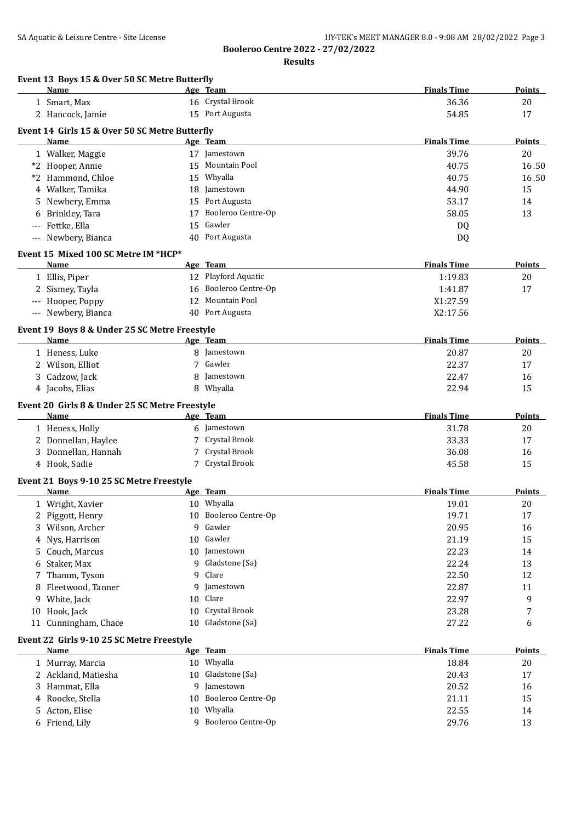| SA Aquatic & Leisure Centre - Site License | HY-TEK's MEET MANAGER 8.0 - 9:08 AM 28/02/2022 Page 3 |
|--------------------------------------------|-------------------------------------------------------|
|--------------------------------------------|-------------------------------------------------------|

**Results**

|          | Event 13 Boys 15 & Over 50 SC Metre Butterfly<br>Name |    | Age Team              | <b>Finals Time</b> | Points        |
|----------|-------------------------------------------------------|----|-----------------------|--------------------|---------------|
|          | 1 Smart, Max                                          |    | 16 Crystal Brook      | 36.36              | 20            |
|          | 2 Hancock, Jamie                                      |    | 15 Port Augusta       | 54.85              | 17            |
|          |                                                       |    |                       |                    |               |
|          | Event 14 Girls 15 & Over 50 SC Metre Butterfly        |    |                       |                    |               |
|          | Name                                                  |    | Age Team              | <b>Finals Time</b> | Points        |
|          | 1 Walker, Maggie                                      |    | 17 Jamestown          | 39.76              | 20            |
|          | *2 Hooper, Annie                                      |    | 15 Mountain Pool      | 40.75              | 16.50         |
|          | *2 Hammond, Chloe                                     | 15 | Whyalla               | 40.75              | 16.50         |
|          | 4 Walker, Tamika                                      | 18 | Jamestown             | 44.90              | 15            |
| 5.       | Newbery, Emma                                         |    | 15 Port Augusta       | 53.17              | 14            |
|          | 6 Brinkley, Tara                                      | 17 | Booleroo Centre-Op    | 58.05              | 13            |
| $\cdots$ | Fettke, Ella                                          | 15 | Gawler                | DQ                 |               |
|          | --- Newbery, Bianca                                   |    | 40 Port Augusta       | DQ                 |               |
|          | Event 15 Mixed 100 SC Metre IM *HCP*                  |    |                       |                    |               |
|          | Name                                                  |    | Age Team              | <b>Finals Time</b> | <b>Points</b> |
|          | 1 Ellis, Piper                                        |    | 12 Playford Aquatic   | 1:19.83            | 20            |
|          | 2 Sismey, Tayla                                       |    | 16 Booleroo Centre-Op | 1:41.87            | 17            |
|          | --- Hooper, Poppy                                     | 12 | <b>Mountain Pool</b>  | X1:27.59           |               |
|          | --- Newbery, Bianca                                   |    | 40 Port Augusta       | X2:17.56           |               |
|          |                                                       |    |                       |                    |               |
|          | Event 19 Boys 8 & Under 25 SC Metre Freestyle         |    |                       |                    |               |
|          | Name                                                  |    | Age Team              | <b>Finals Time</b> | <b>Points</b> |
|          | 1 Heness, Luke                                        |    | 8 Jamestown           | 20.87              | 20            |
|          | 2 Wilson, Elliot                                      | 7  | Gawler                | 22.37              | 17            |
|          | 3 Cadzow, Jack                                        | 8  | Jamestown             | 22.47              | 16            |
|          | 4 Jacobs, Elias                                       | 8  | Whyalla               | 22.94              | 15            |
|          | Event 20 Girls 8 & Under 25 SC Metre Freestyle        |    |                       |                    |               |
|          | Name                                                  |    | Age Team              | <b>Finals Time</b> | <b>Points</b> |
|          | 1 Heness, Holly                                       | 6  | Jamestown             | 31.78              | 20            |
|          | 2 Donnellan, Haylee                                   | 7  | Crystal Brook         | 33.33              | 17            |
|          | 3 Donnellan, Hannah                                   | 7  | Crystal Brook         | 36.08              | 16            |
|          | 4 Hook, Sadie                                         |    | 7 Crystal Brook       | 45.58              | 15            |
|          |                                                       |    |                       |                    |               |
|          | Event 21 Boys 9-10 25 SC Metre Freestyle              |    |                       |                    |               |
|          | Name                                                  |    | Age Team              | <b>Finals Time</b> | Points        |
|          | 1 Wright, Xavier                                      |    | 10 Whyalla            | 19.01              | 20            |
|          | 2 Piggott, Henry                                      | 10 | Booleroo Centre-Op    | 19.71              | 17            |
| 3        | Wilson, Archer                                        | 9  | Gawler                | 20.95              | 16            |
| 4        | Nys, Harrison                                         | 10 | Gawler                | 21.19              | 15            |
| 5        | Couch, Marcus                                         | 10 | Jamestown             | 22.23              | 14            |
| 6        | Staker, Max                                           | 9  | Gladstone (Sa)        | 22.24              | 13            |
| 7        | Thamm, Tyson                                          | 9  | Clare                 | 22.50              | 12            |
| 8        | Fleetwood, Tanner                                     | 9  | Jamestown             | 22.87              | 11            |
| 9        | White, Jack                                           | 10 | Clare                 | 22.97              | 9             |
| 10       | Hook, Jack                                            | 10 | Crystal Brook         | 23.28              | 7             |
| 11       | Cunningham, Chace                                     | 10 | Gladstone (Sa)        | 27.22              | 6             |
|          |                                                       |    |                       |                    |               |
|          | Event 22 Girls 9-10 25 SC Metre Freestyle             |    |                       |                    |               |
|          | Name                                                  |    | Age Team              | <b>Finals Time</b> | <b>Points</b> |
|          | 1 Murray, Marcia                                      |    | 10 Whyalla            | 18.84              | 20            |
|          | 2 Ackland, Matiesha                                   | 10 | Gladstone (Sa)        | 20.43              | 17            |
| 3        | Hammat, Ella                                          | 9  | Jamestown             | 20.52              | 16            |
| 4        | Roocke, Stella                                        | 10 | Booleroo Centre-Op    | 21.11              | 15            |
| 5        | Acton, Elise                                          | 10 | Whyalla               | 22.55              | 14            |
|          | 6 Friend, Lily                                        |    | 9 Booleroo Centre-Op  | 29.76              | 13            |
|          |                                                       |    |                       |                    |               |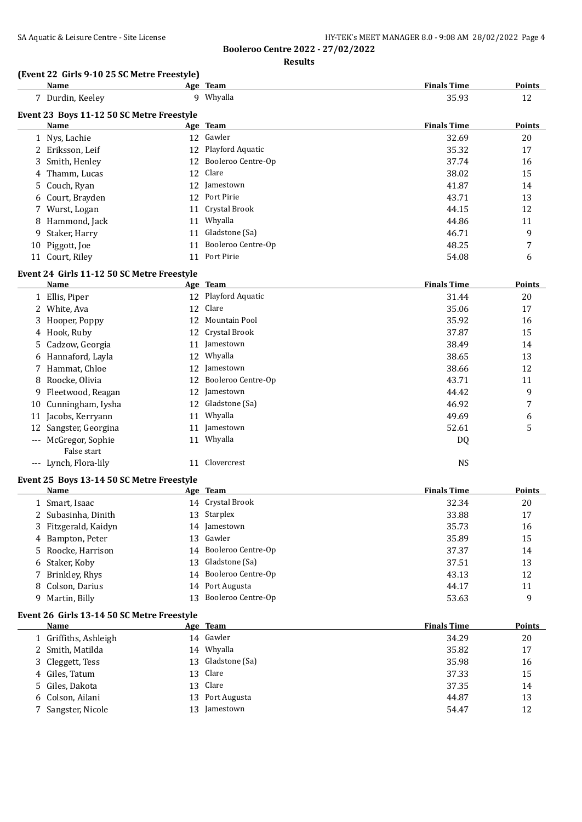| SA Aquatic & Leisure Centre - Site License | HY-TEK's MEET MANAGER 8.0 - 9:08 AM 28/02/2022 Page 4 |
|--------------------------------------------|-------------------------------------------------------|
|--------------------------------------------|-------------------------------------------------------|

**Booleroo Centre 2022 - 27/02/2022 Results**

#### **(Event 22 Girls 9-10 25 SC Metre Freestyle)**

|    | <u>Name</u>                                       |    | Age Team            | <b>Finals Time</b> | <b>Points</b> |
|----|---------------------------------------------------|----|---------------------|--------------------|---------------|
|    | 7 Durdin, Keeley                                  |    | 9 Whyalla           | 35.93              | 12            |
|    |                                                   |    |                     |                    |               |
|    | Event 23 Boys 11-12 50 SC Metre Freestyle<br>Name |    | Age Team            | <b>Finals Time</b> | <b>Points</b> |
|    | 1 Nys, Lachie                                     |    | 12 Gawler           | 32.69              | 20            |
|    | 2 Eriksson, Leif                                  |    | 12 Playford Aquatic | 35.32              | 17            |
|    | 3 Smith, Henley                                   | 12 | Booleroo Centre-Op  | 37.74              | 16            |
|    | Thamm, Lucas                                      | 12 | Clare               | 38.02              | 15            |
| 4  | Couch, Ryan                                       |    | 12 Jamestown        | 41.87              | 14            |
| 5. | 6 Court, Brayden                                  |    | 12 Port Pirie       | 43.71              | 13            |
|    |                                                   | 11 | Crystal Brook       | 44.15              | 12            |
|    | 7 Wurst, Logan<br>Hammond, Jack                   |    | 11 Whyalla          | 44.86              | 11            |
| 8  |                                                   |    | Gladstone (Sa)      |                    |               |
| 9  | Staker, Harry                                     | 11 |                     | 46.71              | 9             |
| 10 | Piggott, Joe                                      | 11 | Booleroo Centre-Op  | 48.25              | 7             |
|    | 11 Court, Riley                                   |    | 11 Port Pirie       | 54.08              | 6             |
|    | Event 24 Girls 11-12 50 SC Metre Freestyle        |    |                     |                    |               |
|    | Name                                              |    | Age Team            | <b>Finals Time</b> | Points        |
|    | 1 Ellis, Piper                                    |    | 12 Playford Aquatic | 31.44              | 20            |
|    | 2 White, Ava                                      |    | 12 Clare            | 35.06              | 17            |
| 3  | Hooper, Poppy                                     |    | 12 Mountain Pool    | 35.92              | 16            |
|    | 4 Hook, Ruby                                      |    | 12 Crystal Brook    | 37.87              | 15            |
| 5. | Cadzow, Georgia                                   |    | 11 Jamestown        | 38.49              | 14            |
| 6  | Hannaford, Layla                                  |    | 12 Whyalla          | 38.65              | 13            |
| 7  | Hammat, Chloe                                     | 12 | Jamestown           | 38.66              | 12            |
| 8  | Roocke, Olivia                                    | 12 | Booleroo Centre-Op  | 43.71              | 11            |
| 9  | Fleetwood, Reagan                                 |    | 12 Jamestown        | 44.42              | 9             |
|    | 10 Cunningham, Iysha                              |    | 12 Gladstone (Sa)   | 46.92              | 7             |
|    | 11 Jacobs, Kerryann                               |    | 11 Whyalla          | 49.69              | 6             |
|    | 12 Sangster, Georgina                             |    | 11 Jamestown        | 52.61              | 5             |
|    | --- McGregor, Sophie                              |    | 11 Whyalla          | DQ                 |               |
|    | False start                                       |    |                     |                    |               |
|    | --- Lynch, Flora-lily                             |    | 11 Clovercrest      | <b>NS</b>          |               |
|    | Event 25 Boys 13-14 50 SC Metre Freestyle         |    |                     |                    |               |
|    | Name                                              |    | Age Team            | <b>Finals Time</b> | Points        |
|    | 1 Smart, Isaac                                    |    | 14 Crystal Brook    | 32.34              | 20            |
|    | 2 Subasinha, Dinith                               |    | 13 Starplex         | 33.88              | 17            |
| 3. | Fitzgerald, Kaidyn                                |    | 14 Jamestown        | 35.73              | 16            |
| 4  | Bampton, Peter                                    | 13 | Gawler              | 35.89              | 15            |
| 5  | Roocke, Harrison                                  | 14 | Booleroo Centre-Op  | 37.37              | 14            |
| 6  | Staker, Koby                                      | 13 | Gladstone (Sa)      | 37.51              | 13            |
| 7  | Brinkley, Rhys                                    | 14 | Booleroo Centre-Op  | 43.13              | 12            |
| 8  | Colson, Darius                                    | 14 | Port Augusta        | 44.17              | 11            |
| 9. | Martin, Billy                                     | 13 | Booleroo Centre-Op  | 53.63              | 9             |
|    | Event 26 Girls 13-14 50 SC Metre Freestyle        |    |                     |                    |               |
|    | Name                                              |    | Age Team            | <b>Finals Time</b> | Points        |
|    | 1 Griffiths, Ashleigh                             |    | 14 Gawler           | 34.29              | $20\,$        |
| 2  | Smith, Matilda                                    |    | 14 Whyalla          | 35.82              | 17            |
| 3  | Cleggett, Tess                                    | 13 | Gladstone (Sa)      | 35.98              | 16            |
| 4  | Giles, Tatum                                      | 13 | Clare               | 37.33              | 15            |
| 5  | Giles, Dakota                                     | 13 | Clare               | 37.35              | 14            |
| 6  | Colson, Ailani                                    | 13 | Port Augusta        | 44.87              | 13            |
|    | 7 Sangster, Nicole                                |    | 13 Jamestown        | 54.47              | 12            |
|    |                                                   |    |                     |                    |               |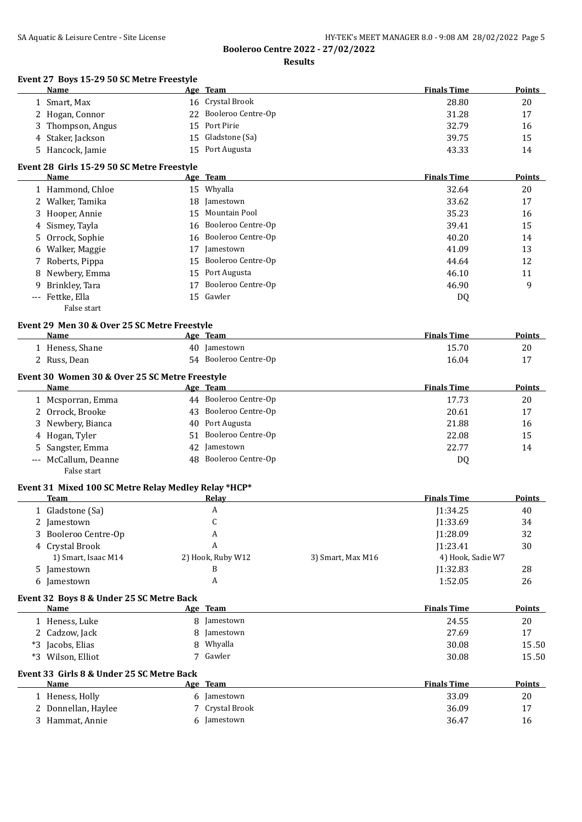# SA Aquatic & Leisure Centre - Site License **HY-TEK's MEET MANAGER 8.0 - 9:08 AM 28/02/2022** Page 5

**Booleroo Centre 2022 - 27/02/2022**

**Results**

# **Event 27 Boys 15-29 50 SC Metre Freestyle**

| Name                            | 3 19 27 90 96 MCG C H CCSC                           | Age Team              | <b>Finals Time</b> | Points        |
|---------------------------------|------------------------------------------------------|-----------------------|--------------------|---------------|
| 1 Smart, Max                    |                                                      | 16 Crystal Brook      | 28.80              | 20            |
| 2 Hogan, Connor                 |                                                      | 22 Booleroo Centre-Op | 31.28              | 17            |
| Thompson, Angus<br>3            |                                                      | 15 Port Pirie         | 32.79              | 16            |
| 4 Staker, Jackson               | 15                                                   | Gladstone (Sa)        | 39.75              | 15            |
| 5 Hancock, Jamie                | 15                                                   | Port Augusta          | 43.33              | 14            |
|                                 | Event 28 Girls 15-29 50 SC Metre Freestyle           |                       |                    |               |
| <b>Name</b>                     |                                                      | Age Team              | <b>Finals Time</b> | <b>Points</b> |
| 1 Hammond, Chloe                |                                                      | 15 Whyalla            | 32.64              | 20            |
| 2 Walker, Tamika                | 18                                                   | Jamestown             | 33.62              | 17            |
| 3 Hooper, Annie                 |                                                      | 15 Mountain Pool      | 35.23              | 16            |
| 4 Sismey, Tayla                 |                                                      | 16 Booleroo Centre-Op | 39.41              | 15            |
| 5 Orrock, Sophie                |                                                      | 16 Booleroo Centre-Op | 40.20              | 14            |
| Walker, Maggie<br>6             | 17                                                   | Jamestown             | 41.09              | 13            |
| 7 Roberts, Pippa                | 15                                                   | Booleroo Centre-Op    | 44.64              | 12            |
| 8 Newbery, Emma                 |                                                      | 15 Port Augusta       | 46.10              | 11            |
| Brinkley, Tara<br>9             | 17                                                   | Booleroo Centre-Op    | 46.90              | 9             |
| --- Fettke, Ella                |                                                      | 15 Gawler             | DQ                 |               |
| False start                     |                                                      |                       |                    |               |
|                                 | Event 29 Men 30 & Over 25 SC Metre Freestyle         |                       |                    |               |
| <b>Name</b>                     |                                                      | Age Team              | <b>Finals Time</b> | <b>Points</b> |
| 1 Heness, Shane                 |                                                      | 40 Jamestown          | 15.70              | 20            |
| 2 Russ, Dean                    |                                                      | 54 Booleroo Centre-Op | 16.04              | 17            |
|                                 | Event 30 Women 30 & Over 25 SC Metre Freestyle       |                       |                    |               |
| <b>Name</b>                     |                                                      | Age Team              | <b>Finals Time</b> | Points        |
| 1 Mcsporran, Emma               |                                                      | 44 Booleroo Centre-Op | 17.73              | 20            |
| 2 Orrock, Brooke                |                                                      | 43 Booleroo Centre-Op | 20.61              | 17            |
| 3 Newbery, Bianca               | 40                                                   | Port Augusta          | 21.88              | 16            |
| 4 Hogan, Tyler                  | 51                                                   | Booleroo Centre-Op    | 22.08              | 15            |
| Sangster, Emma<br>5.            | 42                                                   | Jamestown             | 22.77              | 14            |
| McCallum, Deanne<br>False start |                                                      | 48 Booleroo Centre-Op | DQ                 |               |
|                                 | Event 31 Mixed 100 SC Metre Relay Medley Relay *HCP* |                       |                    |               |
| Toam                            |                                                      |                       | Finale Timo        | <b>Dointe</b> |

| <b>Team</b>          | Relay             |                   | <b>Finals Time</b> | <b>Points</b> |
|----------------------|-------------------|-------------------|--------------------|---------------|
| 1 Gladstone (Sa)     | A                 |                   | 11:34.25           | 40            |
| 2 Jamestown          |                   |                   | 1:33.69            | 34            |
| 3 Booleroo Centre-Op | A                 |                   | 11:28.09           | 32            |
| 4 Crystal Brook      |                   |                   | 1:23.41            | 30            |
| 1) Smart, Isaac M14  | 2) Hook, Ruby W12 | 3) Smart, Max M16 | 4) Hook, Sadie W7  |               |
| 5 Jamestown          |                   |                   | 1:32.83            | 28            |
| 6 Jamestown          |                   |                   | 1:52.05            | 26            |

### **Event 32 Boys 8 & Under 25 SC Metre Back**

|      | Name             | Age | Team        | <b>Finals Time</b> | <b>Points</b> |
|------|------------------|-----|-------------|--------------------|---------------|
|      | Heness, Luke     |     | 8 Jamestown | 24.55              | 20            |
|      | 2 Cadzow, Jack   |     | 8 Jamestown | 27.69              | 17            |
|      | *3 Jacobs, Elias |     | Whyalla     | 30.08              | 15.50         |
| $*3$ | Wilson, Elliot   | ⇁   | Gawler      | 30.08              | 15.50         |

### **Event 33 Girls 8 & Under 25 SC Metre Back**

 $\overline{\phantom{a}}$ 

| Name                | Age Team      | <b>Finals Time</b> | Points |
|---------------------|---------------|--------------------|--------|
| 1 Heness, Holly     | Jamestown     | 33.09              | 20     |
| 2 Donnellan, Haylee | Crystal Brook | 36.09              |        |
| 3 Hammat, Annie     | Jamestown     | 36.47              | 16     |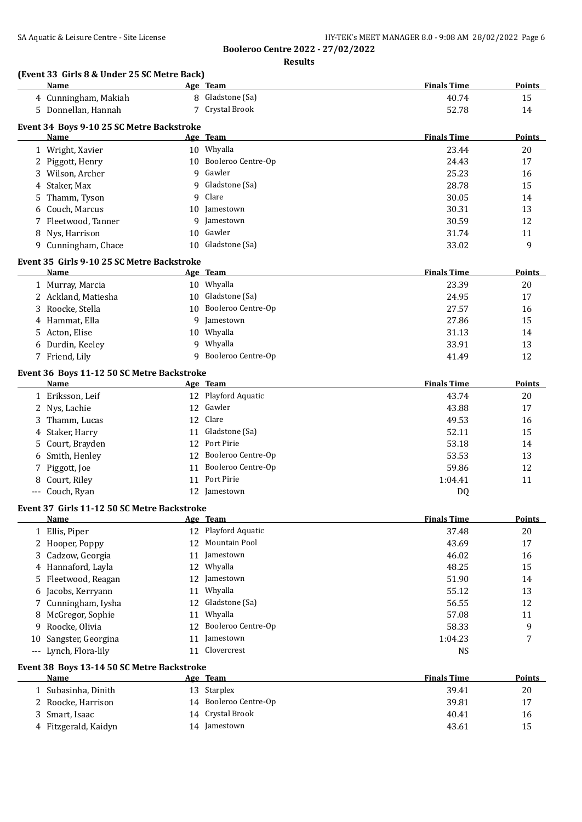**Results**

#### **(Event 33 Girls 8 & Under 25 SC Metre Back)**

| Name                                        | Age Team                 | <b>Finals Time</b> | <b>Points</b> |
|---------------------------------------------|--------------------------|--------------------|---------------|
| 4 Cunningham, Makiah                        | 8 Gladstone (Sa)         | 40.74              | 15            |
| 5 Donnellan, Hannah                         | 7 Crystal Brook          | 52.78              | 14            |
| Event 34 Boys 9-10 25 SC Metre Backstroke   |                          |                    |               |
| Name                                        | Age Team                 | <b>Finals Time</b> | <b>Points</b> |
| 1 Wright, Xavier                            | 10 Whyalla               | 23.44              | 20            |
| 2 Piggott, Henry                            | Booleroo Centre-Op<br>10 | 24.43              | 17            |
| 3 Wilson, Archer                            | Gawler<br>9              | 25.23              | 16            |
| Staker, Max<br>4                            | Gladstone (Sa)<br>9      | 28.78              | 15            |
| Thamm, Tyson<br>5                           | Clare<br>9               | 30.05              | 14            |
| Couch, Marcus<br>6                          | Jamestown<br>10          | 30.31              | 13            |
| Fleetwood, Tanner<br>7                      | Jamestown<br>9           | 30.59              | 12            |
| Nys, Harrison<br>8                          | Gawler<br>10             | 31.74              | 11            |
| 9 Cunningham, Chace                         | Gladstone (Sa)<br>10     | 33.02              | 9             |
| Event 35 Girls 9-10 25 SC Metre Backstroke  |                          |                    |               |
| Name                                        | Age Team                 | <b>Finals Time</b> | <b>Points</b> |
| 1 Murray, Marcia                            | 10 Whyalla               | 23.39              | 20            |
| 2 Ackland, Matiesha                         | 10 Gladstone (Sa)        | 24.95              | 17            |
| 3 Roocke, Stella                            | 10 Booleroo Centre-Op    | 27.57              | 16            |
| Hammat, Ella<br>4                           | Jamestown<br>9           | 27.86              | 15            |
| 5 Acton, Elise                              | Whyalla<br>10            | 31.13              | 14            |
| 6 Durdin, Keeley                            | 9 Whyalla                | 33.91              | 13            |
| 7 Friend, Lily                              | Booleroo Centre-Op<br>9  | 41.49              | 12            |
| Event 36 Boys 11-12 50 SC Metre Backstroke  |                          |                    |               |
| Name                                        | Age Team                 | <b>Finals Time</b> | Points        |
| 1 Eriksson, Leif                            | 12 Playford Aquatic      | 43.74              | 20            |
| 2 Nys, Lachie                               | 12 Gawler                | 43.88              | 17            |
| Thamm, Lucas                                | 12 Clare                 | 49.53              | 16            |
| Staker, Harry<br>4                          | 11 Gladstone (Sa)        | 52.11              | 15            |
| Court, Brayden<br>5.                        | 12 Port Pirie            | 53.18              | 14            |
| Smith, Henley<br>6                          | 12 Booleroo Centre-Op    | 53.53              | 13            |
| Piggott, Joe<br>7                           | Booleroo Centre-Op<br>11 | 59.86              | 12            |
| Court, Riley<br>8                           | 11 Port Pirie            | 1:04.41            | 11            |
| --- Couch, Ryan                             | 12 Jamestown             | DQ                 |               |
| Event 37 Girls 11-12 50 SC Metre Backstroke |                          |                    |               |
| Name                                        | Age Team                 | <b>Finals Time</b> | <b>Points</b> |
| 1 Ellis, Piper                              | 12 Playford Aquatic      | 37.48              | 20            |
| 2 Hooper, Poppy                             | 12 Mountain Pool         | 43.69              | 17            |
| Cadzow, Georgia<br>3                        | Jamestown<br>11          | 46.02              | 16            |
| Hannaford, Layla<br>4                       | 12 Whyalla               | 48.25              | 15            |
| Fleetwood, Reagan<br>5.                     | Jamestown<br>12          | 51.90              | 14            |
| Jacobs, Kerryann<br>6                       | Whyalla<br>11            | 55.12              | 13            |
| Cunningham, Iysha<br>7                      | Gladstone (Sa)<br>12     | 56.55              | 12            |
| McGregor, Sophie<br>8                       | Whyalla<br>11            | 57.08              | 11            |
| Roocke, Olivia<br>9                         | Booleroo Centre-Op<br>12 | 58.33              | 9             |
| Sangster, Georgina<br>10                    | Jamestown<br>11          | 1:04.23            | 7             |
| Lynch, Flora-lily<br>$\cdots$               | 11 Clovercrest           | <b>NS</b>          |               |
| Event 38 Boys 13-14 50 SC Metre Backstroke  |                          |                    |               |
| Name                                        | Age Team                 | <b>Finals Time</b> | <b>Points</b> |
| 1 Subasinha, Dinith                         | 13 Starplex              | 39.41              | 20            |
| 2 Roocke, Harrison                          | 14 Booleroo Centre-Op    | 39.81              | 17            |
| Smart, Isaac<br>3                           | 14 Crystal Brook         | 40.41              | 16            |
| 4 Fitzgerald, Kaidyn                        | 14 Jamestown             | 43.61              | 15            |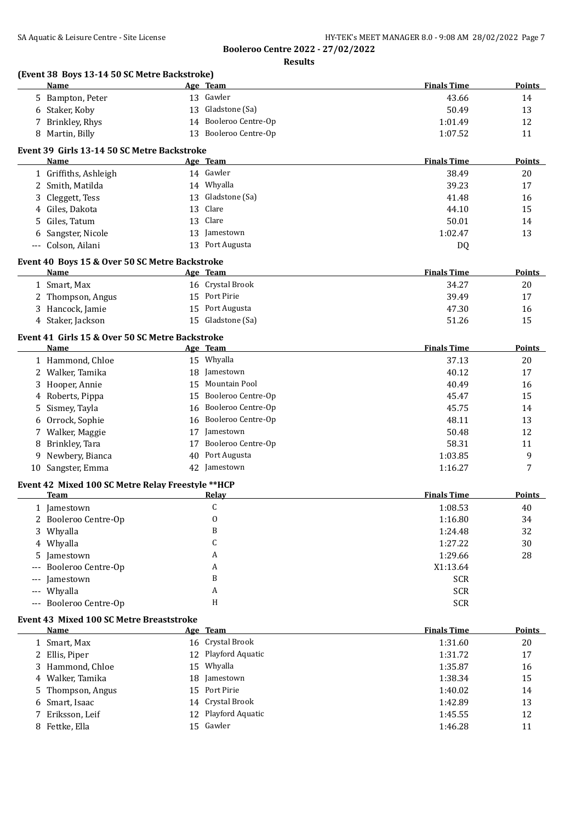|                     | (Event 38 Boys 13-14 50 SC Metre Backstroke)<br><b>Name</b>       |          | Age Team                          | <b>Finals Time</b> | <b>Points</b> |
|---------------------|-------------------------------------------------------------------|----------|-----------------------------------|--------------------|---------------|
| 5.                  | Bampton, Peter                                                    |          | 13 Gawler                         | 43.66              | 14            |
|                     | 6 Staker, Koby                                                    | 13       | Gladstone (Sa)                    | 50.49              | 13            |
| 7                   | Brinkley, Rhys                                                    |          | 14 Booleroo Centre-Op             | 1:01.49            | 12            |
| 8                   | Martin, Billy                                                     | 13       | Booleroo Centre-Op                | 1:07.52            | 11            |
|                     |                                                                   |          |                                   |                    |               |
|                     | Event 39 Girls 13-14 50 SC Metre Backstroke<br><b>Name</b>        |          | Age Team                          | <b>Finals Time</b> | <b>Points</b> |
|                     | 1 Griffiths, Ashleigh                                             |          | 14 Gawler                         | 38.49              | 20            |
|                     | 2 Smith, Matilda                                                  |          | 14 Whyalla                        | 39.23              | 17            |
| 3                   | Cleggett, Tess                                                    |          | 13 Gladstone (Sa)                 | 41.48              | 16            |
| 4                   | Giles, Dakota                                                     | 13       | Clare                             | 44.10              | 15            |
| 5                   | Giles, Tatum                                                      | 13       | Clare                             | 50.01              | 14            |
| 6                   | Sangster, Nicole                                                  | 13       | Jamestown                         | 1:02.47            | 13            |
| $\qquad \qquad - -$ | Colson, Ailani                                                    | 13       | Port Augusta                      | DQ                 |               |
|                     |                                                                   |          |                                   |                    |               |
|                     | Event 40 Boys 15 & Over 50 SC Metre Backstroke<br><b>Name</b>     |          | Age Team                          | <b>Finals Time</b> | <b>Points</b> |
|                     | 1 Smart, Max                                                      |          | 16 Crystal Brook                  | 34.27              | 20            |
|                     | Thompson, Angus                                                   |          | 15 Port Pirie                     | 39.49              | 17            |
| 3                   | Hancock, Jamie                                                    | 15       | Port Augusta                      | 47.30              | 16            |
|                     | 4 Staker, Jackson                                                 |          | 15 Gladstone (Sa)                 | 51.26              | 15            |
|                     |                                                                   |          |                                   |                    |               |
|                     | Event 41 Girls 15 & Over 50 SC Metre Backstroke<br><b>Name</b>    |          | Age Team                          | <b>Finals Time</b> | <b>Points</b> |
|                     | 1 Hammond, Chloe                                                  |          | 15 Whyalla                        | 37.13              | 20            |
|                     | 2 Walker, Tamika                                                  | 18       | Jamestown                         | 40.12              | 17            |
|                     | 3 Hooper, Annie                                                   | 15       | Mountain Pool                     | 40.49              | 16            |
| 4                   | Roberts, Pippa                                                    | 15       | Booleroo Centre-Op                | 45.47              | 15            |
| 5                   | Sismey, Tayla                                                     | 16       | Booleroo Centre-Op                | 45.75              | 14            |
| 6                   | Orrock, Sophie                                                    | 16       | Booleroo Centre-Op                | 48.11              | 13            |
| 7                   | Walker, Maggie                                                    | 17       | Jamestown                         | 50.48              | 12            |
| 8                   | Brinkley, Tara                                                    | 17       | Booleroo Centre-Op                | 58.31              | 11            |
| 9                   | Newbery, Bianca                                                   |          | 40 Port Augusta                   | 1:03.85            | 9             |
| 10                  | Sangster, Emma                                                    | 42       | Jamestown                         | 1:16.27            | 7             |
|                     |                                                                   |          |                                   |                    |               |
|                     | Event 42 Mixed 100 SC Metre Relay Freestyle ** HCP<br><b>Team</b> |          | <u>Relay</u>                      | <b>Finals Time</b> | <b>Points</b> |
|                     | 1 Jamestown                                                       |          | $\mathsf C$                       | 1:08.53            | 40            |
|                     | 2 Booleroo Centre-Op                                              |          | 0                                 | 1:16.80            | 34            |
| 3                   | Whyalla                                                           |          | B                                 | 1:24.48            | 32            |
| 4                   | Whyalla                                                           |          | C                                 | 1:27.22            | 30            |
| 5                   | Jamestown                                                         |          | A                                 | 1:29.66            | 28            |
|                     | Booleroo Centre-Op                                                |          | A                                 | X1:13.64           |               |
|                     | Jamestown                                                         |          | B                                 | <b>SCR</b>         |               |
| $\qquad \qquad -$   | Whyalla                                                           |          | A                                 | <b>SCR</b>         |               |
| $---$               | Booleroo Centre-Op                                                |          | H                                 | <b>SCR</b>         |               |
|                     |                                                                   |          |                                   |                    |               |
|                     | <b>Event 43 Mixed 100 SC Metre Breaststroke</b><br>Name           |          | Age Team                          | <b>Finals Time</b> | <b>Points</b> |
|                     | 1 Smart, Max                                                      |          | 16 Crystal Brook                  | 1:31.60            | 20            |
|                     | 2 Ellis, Piper                                                    | 12       | Playford Aquatic                  | 1:31.72            | 17            |
|                     | Hammond, Chloe                                                    | 15       | Whyalla                           | 1:35.87            | 16            |
| 4                   | Walker, Tamika                                                    | 18       | Jamestown                         | 1:38.34            | 15            |
|                     | Thompson, Angus                                                   | 15       | Port Pirie                        | 1:40.02            | 14            |
|                     |                                                                   |          |                                   |                    |               |
| 5                   |                                                                   |          |                                   |                    |               |
| 6<br>7              | Smart, Isaac<br>Eriksson, Leif                                    | 14<br>12 | Crystal Brook<br>Playford Aquatic | 1:42.89<br>1:45.55 | 13<br>12      |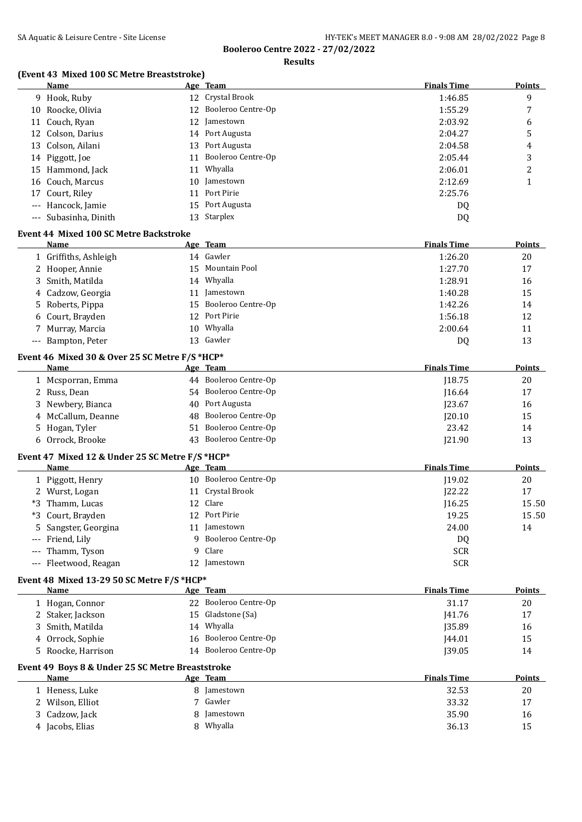**Results**

## **(Event 43 Mixed 100 SC Metre Breaststroke)**

|       | <b>Name</b>                                              |    | Age Team              | <b>Finals Time</b> | <b>Points</b> |
|-------|----------------------------------------------------------|----|-----------------------|--------------------|---------------|
|       | 9 Hook, Ruby                                             |    | 12 Crystal Brook      | 1:46.85            | 9             |
|       | 10 Roocke, Olivia                                        |    | 12 Booleroo Centre-Op | 1:55.29            | 7             |
| 11    | Couch, Ryan                                              | 12 | Jamestown             | 2:03.92            | 6             |
| 12    | Colson, Darius                                           | 14 | Port Augusta          | 2:04.27            | 5             |
| 13    | Colson, Ailani                                           | 13 | Port Augusta          | 2:04.58            | 4             |
|       | 14 Piggott, Joe                                          | 11 | Booleroo Centre-Op    | 2:05.44            | 3             |
|       | 15 Hammond, Jack                                         | 11 | Whyalla               | 2:06.01            | 2             |
| 16    | Couch, Marcus                                            | 10 | Jamestown             | 2:12.69            | $\mathbf{1}$  |
| 17    | Court, Riley                                             | 11 | Port Pirie            | 2:25.76            |               |
| ---   | Hancock, Jamie                                           | 15 | Port Augusta          | DQ                 |               |
| ---   | Subasinha, Dinith                                        | 13 | Starplex              | DQ                 |               |
|       | <b>Event 44 Mixed 100 SC Metre Backstroke</b>            |    |                       |                    |               |
|       | <b>Name</b>                                              |    | Age Team              | <b>Finals Time</b> | <b>Points</b> |
|       | 1 Griffiths, Ashleigh                                    |    | 14 Gawler             | 1:26.20            | 20            |
|       | 2 Hooper, Annie                                          | 15 | Mountain Pool         | 1:27.70            | 17            |
| 3     | Smith, Matilda                                           |    | 14 Whyalla            | 1:28.91            | 16            |
|       | 4 Cadzow, Georgia                                        | 11 | Jamestown             | 1:40.28            | 15            |
| 5     | Roberts, Pippa                                           | 15 | Booleroo Centre-Op    | 1:42.26            | 14            |
| 6     | Court, Brayden                                           | 12 | Port Pirie            | 1:56.18            | 12            |
|       | 7 Murray, Marcia                                         | 10 | Whyalla               | 2:00.64            | 11            |
|       | --- Bampton, Peter                                       | 13 | Gawler                | DQ                 | 13            |
|       |                                                          |    |                       |                    |               |
|       | Event 46 Mixed 30 & Over 25 SC Metre F/S *HCP*           |    |                       |                    |               |
|       | Name                                                     |    | Age Team              | <b>Finals Time</b> | <b>Points</b> |
|       | 1 Mcsporran, Emma                                        |    | 44 Booleroo Centre-Op | J18.75             | 20            |
|       | 2 Russ, Dean                                             | 54 | Booleroo Centre-Op    | 116.64             | 17            |
| 3     | Newbery, Bianca                                          | 40 | Port Augusta          | J23.67             | 16            |
|       | 4 McCallum, Deanne                                       | 48 | Booleroo Centre-Op    | J20.10             | 15            |
| 5     | Hogan, Tyler                                             | 51 | Booleroo Centre-Op    | 23.42              | 14            |
|       | 6 Orrock, Brooke                                         | 43 | Booleroo Centre-Op    | J21.90             | 13            |
|       | Event 47 Mixed 12 & Under 25 SC Metre F/S *HCP*          |    |                       |                    |               |
|       | Name                                                     |    | Age Team              | <b>Finals Time</b> | Points        |
|       | 1 Piggott, Henry                                         |    | 10 Booleroo Centre-Op | J19.02             | 20            |
|       | 2 Wurst, Logan                                           |    | 11 Crystal Brook      | [22.22]            | 17            |
| *3    | Thamm, Lucas                                             | 12 | Clare                 | [16.25]            | 15.50         |
| *3    | Court, Brayden                                           |    | 12 Port Pirie         | 19.25              | 15.50         |
|       | 5 Sangster, Georgina                                     |    | 11 Jamestown          | 24.00              | 14            |
|       | Friend, Lily                                             | 9  | Booleroo Centre-Op    | DQ                 |               |
|       | Thamm, Tyson                                             | 9  | Clare                 | <b>SCR</b>         |               |
| $---$ | Fleetwood, Reagan                                        |    | 12 Jamestown          | <b>SCR</b>         |               |
|       | Event 48 Mixed 13-29 50 SC Metre F/S *HCP*               |    |                       |                    |               |
|       | Name                                                     |    | Age Team              | <b>Finals Time</b> | <b>Points</b> |
|       | 1 Hogan, Connor                                          |    | 22 Booleroo Centre-Op | 31.17              | 20            |
|       | 2 Staker, Jackson                                        | 15 | Gladstone (Sa)        | <b>J41.76</b>      | 17            |
| 3     | Smith, Matilda                                           |    | 14 Whyalla            | <b>J35.89</b>      | 16            |
|       | 4 Orrock, Sophie                                         | 16 | Booleroo Centre-Op    | J44.01             | 15            |
|       | 5 Roocke, Harrison                                       |    | 14 Booleroo Centre-Op | J39.05             | 14            |
|       |                                                          |    |                       |                    |               |
|       | Event 49 Boys 8 & Under 25 SC Metre Breaststroke<br>Name |    | Age Team              | <b>Finals Time</b> | <b>Points</b> |
|       | 1 Heness, Luke                                           |    | 8 Jamestown           | 32.53              | 20            |
|       | 2 Wilson, Elliot                                         | 7  | Gawler                | 33.32              | 17            |
| 3     | Cadzow, Jack                                             | 8  | Jamestown             | 35.90              | 16            |
|       | 4 Jacobs, Elias                                          |    | 8 Whyalla             | 36.13              | 15            |
|       |                                                          |    |                       |                    |               |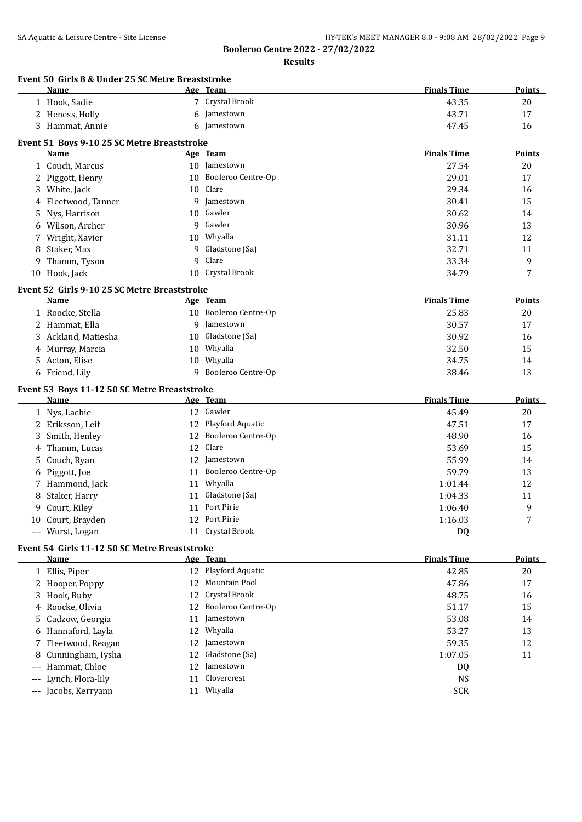**Booleroo Centre 2022 - 27/02/2022 Results**

|                             | Event 50 Girls 8 & Under 25 SC Metre Breaststroke<br>Name |    | Age Team                  | <b>Finals Time</b>      | Points        |
|-----------------------------|-----------------------------------------------------------|----|---------------------------|-------------------------|---------------|
|                             | 1 Hook, Sadie                                             |    | 7 Crystal Brook           | 43.35                   | 20            |
|                             | 2 Heness, Holly                                           | 6  | Jamestown                 | 43.71                   | 17            |
|                             | 3 Hammat, Annie                                           | 6  | Jamestown                 | 47.45                   | 16            |
|                             |                                                           |    |                           |                         |               |
|                             | Event 51 Boys 9-10 25 SC Metre Breaststroke<br>Name       |    | Age Team                  | <b>Finals Time</b>      | <b>Points</b> |
|                             | 1 Couch, Marcus                                           |    | 10 Jamestown              | 27.54                   | 20            |
|                             | 2 Piggott, Henry                                          |    | 10 Booleroo Centre-Op     | 29.01                   | 17            |
|                             | 3 White, Jack                                             |    | 10 Clare                  | 29.34                   | 16            |
| 4                           | Fleetwood, Tanner                                         |    | 9 Jamestown               | 30.41                   | 15            |
| 5.                          | Nys, Harrison                                             | 10 | Gawler                    | 30.62                   | 14            |
| 6                           | Wilson, Archer                                            |    | 9 Gawler                  | 30.96                   | 13            |
|                             | 7 Wright, Xavier                                          |    | 10 Whyalla                | 31.11                   | 12            |
| 8                           | Staker, Max                                               | q  | Gladstone (Sa)            | 32.71                   | 11            |
| 9                           | Thamm, Tyson                                              | 9  | Clare                     | 33.34                   | 9             |
|                             |                                                           |    | 10 Crystal Brook          |                         | 7             |
|                             | 10 Hook, Jack                                             |    |                           | 34.79                   |               |
|                             | Event 52 Girls 9-10 25 SC Metre Breaststroke              |    |                           |                         |               |
|                             | Name                                                      |    | Age Team                  | <b>Finals Time</b>      | Points        |
|                             | 1 Roocke, Stella                                          |    | 10 Booleroo Centre-Op     | 25.83                   | 20            |
|                             | 2 Hammat, Ella                                            |    | 9 Jamestown               | 30.57                   | 17            |
|                             | 3 Ackland, Matiesha                                       | 10 | Gladstone (Sa)            | 30.92                   | 16            |
|                             | 4 Murray, Marcia                                          |    | 10 Whyalla                | 32.50                   | 15            |
|                             | 5 Acton, Elise                                            | 10 | Whyalla                   | 34.75                   | 14            |
|                             | 6 Friend, Lily                                            |    | 9 Booleroo Centre-Op      | 38.46                   | 13            |
|                             | Event 53 Boys 11-12 50 SC Metre Breaststroke              |    |                           |                         |               |
|                             | Name                                                      |    | Age Team                  | <b>Finals Time</b>      | <b>Points</b> |
|                             | 1 Nys, Lachie                                             |    | 12 Gawler                 | 45.49                   | 20            |
|                             | 2 Eriksson, Leif                                          |    | 12 Playford Aquatic       | 47.51                   | 17            |
| 3                           | Smith, Henley                                             |    | 12 Booleroo Centre-Op     | 48.90                   | 16            |
| 4                           | Thamm, Lucas                                              | 12 | Clare                     | 53.69                   | 15            |
| 5                           | Couch, Ryan                                               | 12 | Jamestown                 | 55.99                   | 14            |
| 6                           | Piggott, Joe                                              | 11 | Booleroo Centre-Op        | 59.79                   | 13            |
|                             | 7 Hammond, Jack                                           |    | 11 Whyalla                | 1:01.44                 | 12            |
| 8                           | Staker, Harry                                             | 11 | Gladstone (Sa)            | 1:04.33                 | 11            |
| 9                           | Court, Riley                                              |    | 11 Port Pirie             | 1:06.40                 | 9             |
|                             | 10 Court, Brayden                                         |    | 12 Port Pirie             | 1:16.03                 | 7             |
|                             | --- Wurst, Logan                                          |    | 11 Crystal Brook          | DQ                      |               |
|                             | Event 54 Girls 11-12 50 SC Metre Breaststroke             |    |                           |                         |               |
|                             | <u>Name</u>                                               |    | Age Team                  | <b>Finals Time</b>      | <b>Points</b> |
|                             | 1 Ellis, Piper                                            |    | 12 Playford Aquatic       | 42.85                   | 20            |
|                             | 2 Hooper, Poppy                                           | 12 | Mountain Pool             | 47.86                   | 17            |
|                             | 3 Hook, Ruby                                              | 12 | Crystal Brook             | 48.75                   | 16            |
| 4                           | Roocke, Olivia                                            | 12 | Booleroo Centre-Op        | 51.17                   | 15            |
|                             | Cadzow, Georgia                                           | 11 | Jamestown                 | 53.08                   | 14            |
|                             |                                                           | 12 | Whyalla                   | 53.27                   | 13            |
| 5.                          |                                                           |    |                           |                         | 12            |
| 6                           | Hannaford, Layla                                          |    |                           |                         |               |
|                             | 7 Fleetwood, Reagan                                       | 12 | Jamestown                 | 59.35                   |               |
| 8                           | Cunningham, Iysha                                         | 12 | Gladstone (Sa)            | 1:07.05                 | 11            |
| $---$                       | Hammat, Chloe                                             | 12 | Jamestown                 | DQ                      |               |
| $\scriptstyle\cdots$<br>--- | Lynch, Flora-lily<br>Jacobs, Kerryann                     | 11 | Clovercrest<br>11 Whyalla | <b>NS</b><br><b>SCR</b> |               |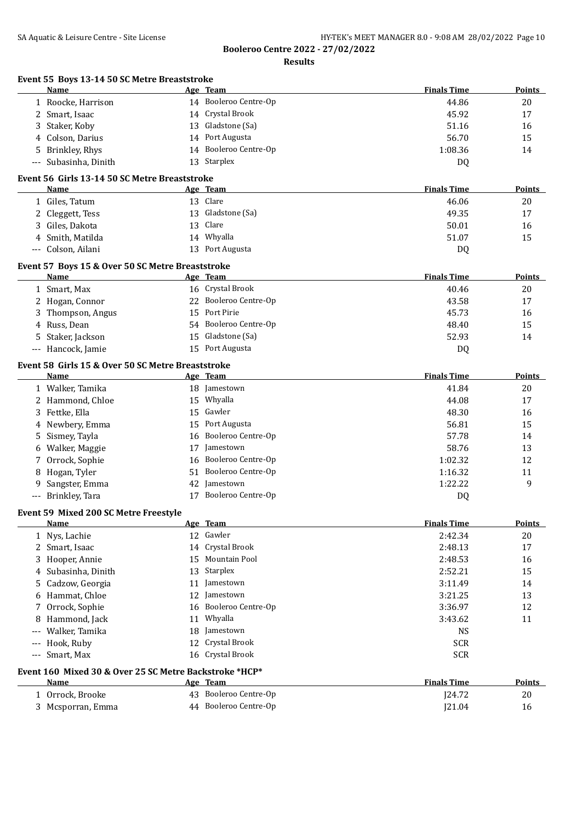**Results**

|                      | Event 55 Boys 13-14 50 SC Metre Breaststroke<br><b>Name</b>     |    | Age Team              | <b>Finals Time</b> | Points        |
|----------------------|-----------------------------------------------------------------|----|-----------------------|--------------------|---------------|
|                      | 1 Roocke, Harrison                                              |    | 14 Booleroo Centre-Op | 44.86              | 20            |
|                      | 2 Smart, Isaac                                                  |    | 14 Crystal Brook      | 45.92              | 17            |
| 3                    | Staker, Koby                                                    | 13 | Gladstone (Sa)        | 51.16              | 16            |
| 4                    | Colson, Darius                                                  | 14 | Port Augusta          | 56.70              | 15            |
| 5.                   | Brinkley, Rhys                                                  | 14 | Booleroo Centre-Op    | 1:08.36            | 14            |
| $\scriptstyle\cdots$ | Subasinha, Dinith                                               |    | 13 Starplex           | DQ                 |               |
|                      | Event 56 Girls 13-14 50 SC Metre Breaststroke                   |    |                       |                    |               |
|                      | Name                                                            |    | Age Team              | <b>Finals Time</b> | Points        |
|                      | 1 Giles, Tatum                                                  |    | 13 Clare              | 46.06              | 20            |
| 2                    | Cleggett, Tess                                                  | 13 | Gladstone (Sa)        | 49.35              | 17            |
| 3                    | Giles, Dakota                                                   | 13 | Clare                 | 50.01              | 16            |
| 4                    | Smith, Matilda                                                  |    | 14 Whyalla            | 51.07              | 15            |
| $-\, -\, -$          | Colson, Ailani                                                  |    | 13 Port Augusta       | DQ                 |               |
|                      |                                                                 |    |                       |                    |               |
|                      | Event 57 Boys 15 & Over 50 SC Metre Breaststroke<br><b>Name</b> |    | Age Team              | <b>Finals Time</b> | <b>Points</b> |
|                      | 1 Smart, Max                                                    |    | 16 Crystal Brook      | 40.46              | 20            |
|                      |                                                                 |    | Booleroo Centre-Op    |                    | 17            |
|                      | 2 Hogan, Connor                                                 | 22 | Port Pirie            | 43.58              |               |
| 3.                   | Thompson, Angus                                                 | 15 | Booleroo Centre-Op    | 45.73              | 16            |
| 4                    | Russ, Dean                                                      | 54 |                       | 48.40              | 15            |
| 5                    | Staker, Jackson                                                 | 15 | Gladstone (Sa)        | 52.93              | 14            |
|                      | --- Hancock, Jamie                                              |    | 15 Port Augusta       | DQ                 |               |
|                      | Event 58 Girls 15 & Over 50 SC Metre Breaststroke               |    |                       |                    |               |
|                      | Name                                                            |    | Age Team              | <b>Finals Time</b> | Points        |
|                      | 1 Walker, Tamika                                                |    | 18 Jamestown          | 41.84              | 20            |
|                      | 2 Hammond, Chloe                                                | 15 | Whyalla               | 44.08              | 17            |
| 3                    | Fettke, Ella                                                    | 15 | Gawler                | 48.30              | 16            |
| 4                    | Newbery, Emma                                                   | 15 | Port Augusta          | 56.81              | 15            |
| 5                    | Sismey, Tayla                                                   | 16 | Booleroo Centre-Op    | 57.78              | 14            |
| 6                    | Walker, Maggie                                                  | 17 | Jamestown             | 58.76              | 13            |
| 7                    | Orrock, Sophie                                                  | 16 | Booleroo Centre-Op    | 1:02.32            | 12            |
| 8                    | Hogan, Tyler                                                    | 51 | Booleroo Centre-Op    | 1:16.32            | 11            |
| 9                    | Sangster, Emma                                                  | 42 | Jamestown             | 1:22.22            | 9             |
| $\cdots$             | Brinkley, Tara                                                  | 17 | Booleroo Centre-Op    | DQ                 |               |
|                      | Event 59 Mixed 200 SC Metre Freestyle                           |    |                       |                    |               |
|                      | Name                                                            |    | Age Team              | <b>Finals Time</b> | <b>Points</b> |
|                      | 1 Nys, Lachie                                                   |    | 12 Gawler             | 2:42.34            | 20            |
|                      | 2 Smart, Isaac                                                  | 14 | Crystal Brook         | 2:48.13            | 17            |
| 3                    | Hooper, Annie                                                   | 15 | <b>Mountain Pool</b>  | 2:48.53            | 16            |
| 4                    | Subasinha, Dinith                                               | 13 | Starplex              | 2:52.21            | 15            |
|                      | Cadzow, Georgia                                                 | 11 | Jamestown             | 3:11.49            | 14            |
| 6                    | Hammat, Chloe                                                   | 12 | Jamestown             | 3:21.25            | 13            |
| 7.                   | Orrock, Sophie                                                  | 16 | Booleroo Centre-Op    | 3:36.97            | 12            |
| 8                    | Hammond, Jack                                                   | 11 | Whyalla               | 3:43.62            | 11            |
| $---$                | Walker, Tamika                                                  | 18 | Jamestown             | <b>NS</b>          |               |
| $---$                | Hook, Ruby                                                      |    | 12 Crystal Brook      | <b>SCR</b>         |               |
| $\scriptstyle\cdots$ | Smart, Max                                                      |    | 16 Crystal Brook      | <b>SCR</b>         |               |
|                      | Event 160 Mixed 30 & Over 25 SC Metre Backstroke *HCP*          |    |                       |                    |               |
|                      | Name                                                            |    | Age Team              | <b>Finals Time</b> | <b>Points</b> |
|                      | 1 Orrock, Brooke                                                |    | 43 Booleroo Centre-Op | J24.72             | 20            |
|                      | 3 Mcsporran, Emma                                               |    | 44 Booleroo Centre-Op | J21.04             | 16            |
|                      |                                                                 |    |                       |                    |               |